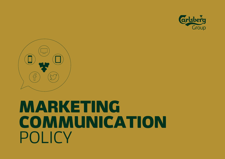



# MARKETING **COMMUNICATION** POLICY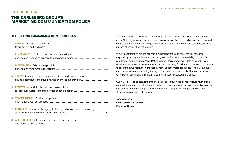## **INTRODUCTION**

# THE CARLSBERG GROUP'S MARKETING COMMUNICATION POLICY

## MARKETING COMMUNICATION PRINCIPLES

| T  | <b>APPEAL:</b> Design communications                                           |
|----|--------------------------------------------------------------------------------|
| 2. | <b>PLACEMENT:</b> Actively restrict people under the legal                     |
| 3  | <b>MODERATION:</b> Advocate responsible                                        |
|    | 4 SAFETY: Never associate consumption of our products with drink               |
| 5  | <b>EFFECTS:</b> Never claim that alcohol can contribute                        |
| 6  | <b>TRANSPARENCY:</b> Provide transparent                                       |
| 7. | <b>PROGRESS:</b> Communicate legally, truthfully and respectfully, championing |
|    | 8 ALCOHOL-FREE: Offer choice through alcohol-free beers                        |

and market them responsibly [...............................................................................................................](#page-10-0)[11](#page-10-0)

The Carlsberg Group has focused on brewing for a better today and tomorrow for over 170 years. Not only for ourselves, but for society as a whole. We are proud of our brands, with all our beverages crafted to be enjoyed in moderation and sit at the heart of social occasions for millions of people all over the world.

We are committed to playing our role in supporting people to consume our products responsibly, as they are intended, and recognise our important responsibility to do so. Our Marketing Communication Policy (MCP) supports this commitment, determining the high standards we set ourselves as a brewer and as an industry for what and how we communicate to ensure that we reach the right people, with the right messages. It applies to all employees and contractors communicating through, or on behalf of, our brands. However, in cases where local regulations are stricter, they must always supersede this policy.

Our MCP exists to enable, rather than to restrict. Through the eight principles which guide our marketing, with clear dos & don'ts under each, we are able to develop innovative, creative and entertaining marketing in the confidence that it aligns with our purpose and high standards as a responsible brewer.

**João Abecasis Chief Commercial Officer Carlsberg Group**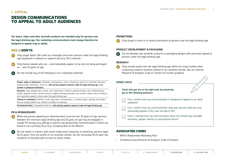# <span id="page-2-0"></span>**1. APPEAL**

# DESIGN COMMUNICATIONS TO APPEAL TO ADULT AUDIENCES

**Our beers, ciders and other alcoholic products are intended only for persons over the legal drinking age. Our marketing communications must always therefore be designed to appeal only to adults.**

## DOS & DON'TS

- Only target adults (18+) with our messages and never persons under the legal drinking age stipulated in national or regional law (e.g. 20 in Iceland).
- Only feature people who are and reasonably appear to be and are being portrayed as - over 25 years of age.
- Do not include any of the following in our marketing materials:

**People, styles or behaviours:** Celebrities, sportspersons, actors, influencers, cartoon or animated characters, clothing styles, behaviours, music etc. with primary appeal to persons under the legal drinking age, or to juvenile or adolescent behaviour.

**Elements:** Toys, playgrounds, schools, zoos, skate parks, children's gaming arcades, child-related fantasy worlds, slapstick humour, sexual humour or digital marketing elements (e.g. lenses or filters) that are likely to be of particular appeal to those under the legal drinking age.

**Themes or treatments:** Children's music, fairy tales, schoolteachers, or drawing styles, symbols and designs that are clearly childish (e.g. children's scribbles or drawings).

**Promotional items:** Competition prizes etc. with primary appeal to persons under the legal drinking age.

## **PR & SPONSORSHIPS**

- While any person appearing in advertisements must be over 25 years of age, persons between the minimum legal drinking age and 25 years of age may be engaged in unpaid PR activity (e.g. gifting) or partner-led sponsorship communication in which our brand is not a primary focus (e.g. Carlsberg Man of the Match).
- Do not repost or interact with social media posts featuring, or posted by, persons aged 18-25 years, from the profile of our alcoholic brands. Do not encourage 18-25-year-old recipients of alcoholic gifts to post on social media.

## **PROMOTIONS**

Only target in-store or in-outlet promotions at persons over the legal drinking age.

## **PRODUCT DEVELOPMENT & PACKAGING**

Do not develop new alcoholic products or packaging designs with particular appeal to persons under the legal drinking age.

## **RESEARCH**

Only include adults over the legal drinking age within the study market when conducting research activities related to our alcoholic brands. See our internal Research & Analytics Code of Conduct for further guidance.

## **SENSE CHECK**

**Check that you are on the right track by answering yes to the following questions:**

- Can I confirm that my communication is designed to appeal to an adult audience?
- Can I confirm that my communication only uses persons who are, and reasonably appear to be, over the age of 25?
- Have I checked that my communication does not include any excluded elements, people, themes or promotional items?

## ASSOCIATED CODES

- WFA'[s Responsible Marketing Pact](http://the-rmp.eu/content/)
- Carlsberg Group Research & Analytics Code of Conduct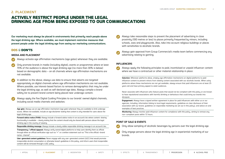## <span id="page-3-0"></span>**2. PLACEMENT**

# ACTIVELY RESTRICT PEOPLE UNDER THE LEGAL DRINKING AGE FROM BEING EXPOSED TO OUR COMMUNICATIONS

**Our marketing must always be placed in environments that primarily reach people above the legal drinking age. Where available, we must implement restrictive measures that prevent people under the legal drinking age from seeing our marketing communications.**

## DOS & DON'TS

#### **MEDIA AND PLACEMENT**

- Always activate age affirmation mechanisms (age gates) whenever they are available.
- Only promote brands in media (including digital), events or programmes where at least 70% of the audience is above the legal drinking age (no more than 30% is below) based on demographic data – on all channels where age affirmation mechanisms are not available.
- In addition to the above, always use data to ensure that adverts are targeted appropriately on digital channels where age affirmation mechanisms are not available. Where possible, use interest-based factors to remove demographics that may be under the legal drinking age, as well as self-declared age data. Always compile a brand safety list to prevent brand content being placed near underage content.
- Always apply the five Digital Guiding Principles to our brands' owned digital channels, including social media channels and websites:

**Age gate:** Always use an age affirmation mechanism (age gate) whenever they are available to limit underage access. Where not available, include an age disclaimer stating that content is only intended for users above the legal drinking age.

**Forward advice notice (FAN):** Always include a forward advice notice in an account's bio where content-sharing functionality is available – clearly stating that the content should only be shared with persons above the legal drinking age in the country of viewing.

**Responsible drinking message:** Always include a clearly visible responsible drinking message in an account's bio.

**Transparency / official signpost:** Always verify owned digital platforms to help users identify them as official through either an official verification sign such as "✓" or a written statement such as "This is the official <brand name> channel".

**User-generated content guidelines:** Never engage with any user-generated content (UGC) that would promote irresponsible alcohol consumption or otherwise breach guidelines in this policy, and inform users that irresponsible content will be removed through a UGC policy.

- Always take reasonable steps to prevent the placement of advertising in close proximity (100 metres or less) to places primarily frequented by minors, including schools, zoos and playgrounds. Also, take into account religious buildings or places with sensitivities to alcoholic brands.
- Always gain approval from Group Commercial's media team before commencing any advertising relating to gaming.

## **INFLUENCERS**

Always apply the following principles to paid, incentivised or unpaid influencer content where we have a contractual or other material relationship in place:

**Selection:** Wherever platforms allow, employ age affirmation mechanisms on digital platforms to paid influencer content to prevent minors from viewing content associated with our alcoholic brands. When using platforms where these mechanisms are not uet available, always ensure that paid influencers are at least 25 years old and have primary appeal to adult audiences.

Never associate with influencers who feature posts that would not be compliant with this policy or are known to have reputational associations with harmful drinking or behaviours that could bring our brands into disrepute.

**Engagement:** Always have a signed written agreement in place for paid influencers with either us or our agencies, including: information linking to local legal requirements, guidelines on clear disclosure of their association with our brand, guidelines on responsible marketing (as set out in this policy), and advice on and examples of best practices.

**Monitoring:** Always monitor paid influencer content for compliance with this policy, aiming to remove any non-compliant posts within 72 hours.

## **POINT OF SALE & EVENTS**

Only allow sampling of alcoholic beverages by persons over the legal drinking age.

Only engage persons above the legal drinking age in experiential marketing of our brands.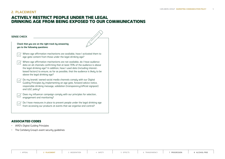# **2. PLACEMENT**

# ACTIVELY RESTRICT PEOPLE UNDER THE LEGAL DRINKING AGE FROM BEING EXPOSED TO OUR COMMUNICATIONS

| Check that you are on the right track by answering<br>yes to the following questions: |                                                                                                                                                                                                                                                                                                                                                        |
|---------------------------------------------------------------------------------------|--------------------------------------------------------------------------------------------------------------------------------------------------------------------------------------------------------------------------------------------------------------------------------------------------------------------------------------------------------|
|                                                                                       | Where age affirmation mechanisms are available, have I activated them to<br>age-gate content from those under the legal drinking age?                                                                                                                                                                                                                  |
|                                                                                       | Where age affirmation mechanisms are not available, do I have audience<br>data on all channels confirming that at least 70% of the audience is above<br>the legal drinking age? In addition, have I used data (including interest-<br>based factors) to ensure, as far as possible, that the audience is likely to be<br>above the legal drinking age? |
|                                                                                       | Do my brands' owned social media channels comply with our Digital<br>Guiding Principles by implementing an age gate, forward advice notice,<br>responsible drinking message, validation (transparency/official signpost)<br>and UGC policy?                                                                                                            |
|                                                                                       | Does my influencer campaign comply with our principles for selection,<br>engagement and monitoring?                                                                                                                                                                                                                                                    |
|                                                                                       | Do I have measures in place to prevent people under the legal drinking age<br>from accessing our products at events that we organise and control?                                                                                                                                                                                                      |

# ASSOCIATED CODES

- IARD's Digital Guiding Principles
- The Carlsberg Group's event security guidelines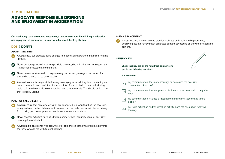$\sim$ 

# <span id="page-5-0"></span>**3. MODERATION**

# ADVOCATE RESPONSIBLE DRINKING AND ENJOYMENT IN MODERATION

**Our marketing communications must always advocate responsible drinking, moderation and enjoyment of our products as part of a balanced, healthy lifestyle.**

## DOS & DON'TS

#### **ADVERTISEMENTS**

- Always show our products being enjoyed in moderation as part of a balanced, healthy lifestyle.
- Never encourage excessive or irresponsible drinking, show drunkenness or suggest that **X** it is normal or acceptable to be drunk.
- Never present abstinence in a negative way, and instead, always show respect for **X** those who choose not to drink alcohol.
- Always incorporate responsible drinking messaging as mandatory in all marketing and brand communication briefs for all touch points of our alcoholic products (including web, social media and video commercials) and print materials. This should be in a size that is clearly legible.

## **POINT OF SALE & EVENTS**

- Always ensure that sampling activities are conducted in a way that has the necessary safeguards and protocols to prevent persons who are underage, intoxicated or driving from taking part. Never pressure people to consume our products.
- Never sponsor activities, such as "drinking games", that encourage rapid or excessive consumption of alcohol.
- Always make an alcohol-free beer, water or carbonated soft drink available at events for those who do not wish to drink alcohol.

#### **MEDIA & PLACEMENT**

Always actively monitor owned branded websites and social media pages and, wherever possible, remove user-generated content advocating or showing irresponsible drinking.

| <b>SENSE CHECK</b> |                                                                                           |  |  |  |  |  |  |
|--------------------|-------------------------------------------------------------------------------------------|--|--|--|--|--|--|
|                    | Check that you are on the right track by answering<br>yes to the following questions:     |  |  |  |  |  |  |
|                    | Am I sure that                                                                            |  |  |  |  |  |  |
|                    | my communication does not encourage or normalise the excessive<br>consumption of alcohol? |  |  |  |  |  |  |
|                    | my communication does not present abstinence or moderation in a negative<br>way?          |  |  |  |  |  |  |
|                    | my communication includes a responsible drinking message that is clearly<br>legible?      |  |  |  |  |  |  |
|                    | my trade activation and/or sampling activity does not encourage excessive<br>drinking?    |  |  |  |  |  |  |
|                    |                                                                                           |  |  |  |  |  |  |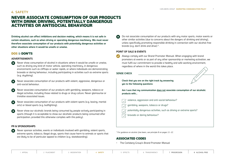# <span id="page-6-0"></span>**4. SAFETY**

# NEVER ASSOCIATE CONSUMPTION OF OUR PRODUCTS WITH DRINK DRIVING, POTENTIALLY DANGEROUS ACTIVITIES OR ANTISOCIAL BEHAVIOUR

**Drinking alcohol can affect inhibitions and decision making, which means it is not safe in certain situations, such as when driving or operating dangerous machinery. We must never therefore associate consumption of our products with potentially dangerous activities or other situations where it would be unsafe or unwise.**

## DOS & DON'TS

## **ADVERTISEMENTS**

- Never show consumption of alcohol in situations where it would be unsafe or unwise, such as driving any kind of motor vehicle, operating machinery, in dangerous environments such as clifftops or water rapids, or where individuals are demonstrating bravado or daring behaviour, including participating in activities such as extreme sports (e.g. skudiving).
- Never associate consumption of our products with violent, aggressive, dangerous or anti-social behaviour.
- Never associate consumption of our products with gambling, weapons, tobacco or illegal activities, including those related to drugs or drug culture. Never glamourise or trivialise associated issues.
- Never associate consumption of our products with violent sports (e.g. boxing, martial arts) or blood sports (e.g. bullfighting).
- Never show our alcoholic brands being consumed by people actively participating in sports (though it is acceptable to show our alcoholic products being consumed after participation, provided this otherwise complies with this policy).

## **PR & SPONSORSHIPS**

Never sponsor activities, events or individuals involved with gambling, violent sports, extreme sports, tobacco, illegal drugs, sports that cause harm to animals or sports that are likely to be of particular appeal to children (e.g. skateboarding).

Do not associate consumption of our products with any motor sports, motor events or other similar activities (due to concerns about the dangers of drinking and driving), unless specifically promoting responsible drinking in connection with our alcohol-free brands (e.g. don't drink and drive) \*.

## **POINT OF SALE & EVENTS**

Always comply with our Brand Promoter Manual. When engaging with brand promoters at events or as part of any other sponsorship or marketing activation, we must fulfil our commitment to provide a healthy and safe working environment, regardless of where in the world this takes place.

## **SENSE CHECK**

**Check that you are on the right track by answering yes to the following questions:**

**Am I sure that my communication does not associate consumption of our alcoholic products with…**

violence, aggression and anti-social behaviour?

- potentially dangerous activities, such as driving or extreme sports?
- bravado or daring behaviour?

*\* For guidance on alcohol-free beers, see principle 8 on pages 11-12.*

## ASSOCIATED CODES

• The Carlsberg Group's [Brand Promoter Manual](https://www.carlsberggroup.com/media/38486/brand-promoter-manual.pdf)

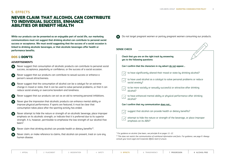# <span id="page-7-0"></span>**5. EFFECTS**

# NEVER CLAIM THAT ALCOHOL CAN CONTRIBUTE TO INDIVIDUAL SUCCESS, ENHANCE ABILITIES OR BENEFIT HEALTH

**While our products can be presented as an enjoyable part of social life, our marketing communications must not suggest that drinking alcohol can contribute to personal social success or acceptance. We must avoid suggesting that the success of a social occasion is linked to drinking alcoholic beverages, or that alcoholic beverages offer health or performance benefits.**

## DOS & DON'TS

## **ADVERTISEMENTS**

- Never suggest that consumption of alcoholic products can contribute to personal social success, acceptance, popularity or confidence, or the success of a social occasion.
- Never suggest that our products can contribute to sexual success or enhance a person's sexual attractiveness.
- Never suggest that the consumption of alcohol can be a catalyst for an extreme change in mood or state, that it can be used to solve personal problems, or that it can reduce social anxiety or overcome boredom and loneliness.
- Never suggest that our products can act as an aid to removing personal inhibitions.
- Never give the impression that alcoholic products can enhance mental ability or **X** improve physical performance. If sports are featured, it must be clear that consumption takes place after the sporting activity has ended.
- Never attempt to hide the nature or strength of an alcoholic beverage, place improper emphasis on its alcoholic strength, or indicate that it is preferred due to its superior strength. It is, however, permissible to emphasise the low strength of our alcohol-free beers\*.



×

Never claim that drinking alcohol can provide health or dietary benefits\*\*.

| Never claim, or make reference to claims, that alcohol can prevent, treat or cure any |  |
|---------------------------------------------------------------------------------------|--|
| human disease.                                                                        |  |



*\* For guidance on alcohol-free beers, see principle 8 on pages 11-12.*

*\*\* This does not restrict the communication of nutritional information and facts. For guidance, see page 9. Always consult your local Legal and Corporate Affairs team if unsure.*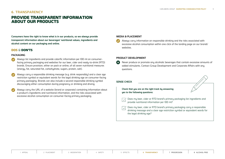# <span id="page-8-0"></span>**6. TRANSPARENCY**

# PROVIDE TRANSPARENT INFORMATION ABOUT OUR PRODUCTS

**Consumers have the right to know what is in our products, so we always provide transparent information about our beverages' nutritional values, ingredients and alcohol content on our packaging and online.**

## DOS & DON'TS

## **PACKAGING**

- Always list ingredients and provide calorific information per 100 ml on consumerfacing primary packaging and websites for our beer, cider and ready-to-drink (RTD) brands. Ensure provision, either on pack or online, of all seven nutritional measures (energy, fat, saturated fat, carbohydrate, sugars, protein, salt).
- Always carry a responsible drinking message (e.g. drink responsibly) and a clear age restriction symbol or equivalent words for the legal drinking age on consumer-facing primary packaging. Brands can also include a second responsible drinking symbol discouraging either consumption during pregnancy or drinking and driving.
- Always carry the URL of a website (brand or corporate) containing information about a product's ingredients and nutritional information, and the risks associated with excessive alcohol consumption on consumer-facing primary packaging.

## **MEDIA & PLACEMENT**

Always carry information on responsible drinking and the risks associated with excessive alcohol consumption within one click of the landing page on our brands' websites.

## **PRODUCT DEVELOPMENT**

**SEP** Never produce or promote any alcoholic beverages that contain excessive amounts of added stimulants. Contact Group Development and Corporate Affairs with any questions.

## **SENSE CHECK**

**Check that you are on the right track by answering yes to the following questions:**

- Does my beer, cider or RTD brand's primary packaging list ingredients and provide nutritional information per 100 ml?
- Does my beer, cider or RTD brand's primary packaging carry a responsible drinking message and a clear age restriction symbol or equivalent words for the legal drinking age?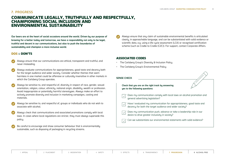## <span id="page-9-1"></span>**7. PROGRESS**

# <span id="page-9-0"></span>COMMUNICATE LEGALLY, TRUTHFULLY AND RESPECTFULLY, CHAMPIONING SOCIAL INCLUSION AND ENVIRONMENTAL SUSTAINABILITY

**Our beers are at the heart of social occasions around the world. Driven by our purpose of brewing for a better today and tomorrow, we have a responsibility not only to be legal, truthful and decent in our communications, but also to push the boundaries of sustainability and champion a more inclusive world.**

## DOS & DON'TS

- Always ensure that our communications are ethical, transparent and truthful, and never misleading.
- Always evaluate communications for appropriateness, good taste and decency both for the target audience and wider society. Consider whether themes that seem harmless in one market could be offensive or culturally insensitive in other markets in which the Carlsberg Group operates.
- Always be sensitive to, and respectful of, diversity in respect of race, gender, sexual orientation, religion, colour, ethnicity, national origin, disability, wealth or profession. Avoid inappropriate or potentially harmful stereotypes. Always make an effort to actively promote diversity and inclusion in marketing campaigns, casting and materials.
- Always be sensitive to, and respectful of, groups or individuals who do not wish to associate with alcohol.
- Always check that communications and associated promotions comply with local laws. In cases where local regulations are stricter, they must always supersede this policy.
- Be careful to encourage and show consumer behaviour that is environmentally sustainable, such as disposing of packaging in recycling streams.

Always ensure that any claim of sustainable environmental benefits is articulated clearly, in approachable language, and can be substantiated with solid evidence or scientific data, e.g. using a life cycle assessment (LCA) or recognised certification scheme (such as Cradle to Cradle (C2C)). For support, contact Corporate Affairs.

## ASSOCIATED CODES

- The Carlsberg Group's [Diversity & Inclusion Policy](https://www.carlsberggroup.com/media/35417/diversity-inclusion-policy_carlsberg-group.pdf)
- The Carlsberg Group's [Environmental Policy](https://www.carlsberggroup.com/media/17987/environmental-policy.pdf)

**Check that you are on the right track by answering yes to the following questions:**

- Does my communication comply with local laws on alcohol promotion and general advertising legislation?
- Have I evaluated my communication for appropriateness, good taste and decency for both the target audience and wider society?
- Does my communication push, advance or take a leadership role in our desire to drive greater inclusivity in society?

Can we substantiate our environmental statements with solid evidence?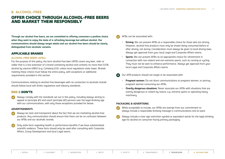# <span id="page-10-0"></span>**8. ALCOHOL-FREE**

# OFFER CHOICE THROUGH ALCOHOL-FREE BEERS AND MARKET THEM RESPONSIBLY

**Through our alcohol-free beers, we are committed to offering consumers a positive choice when they want to enjoy the taste of a refreshing beverage but without alcohol. Our communications should always target adults and our alcohol-free beers should be clearly distinguished from alcoholic variants.** 

## APPLICABLE BRANDS

## **ALCOHOL-FREE BEERS (AFBs)**

For the purpose of this policy, the term alcohol-free beer (AFB) covers any beer, cider or radler that is a line extension of a brand containing alcohol and contains no more than 0.5% alcohol by volume (ABV) (e.g. Carlsberg 0.0), unless local regulations state lower. Brands meeting these criteria must follow the entire policy, with exceptions or additional requirements provided in this section.

Communications relating to alcohol-free beverages with no connection to alcoholic brands should follow local soft drinks regulations and industry standards.

## DOS & DON'TS

Always comply with the standards set out in this policy, including always aiming to appeal to (principle #1) and reach (principle #2) persons over the legal drinking age with our communications, with only those exceptions provided for below.

## **ADVERTISEMENTS**

- Always be clear and transparent about the fact that we are marketing alcohol-free products. Any communication should ensure that there can be no confusion between our AFBs and our alcoholic brands.
- Only state facts regarding health or performance benefits if we have substantiated scientific evidence. These facts should only be used after consulting with Corporate Affairs, Group Development and local Legal teams.

## AFBs can be associated with:

- **Driving:** We can present AFBs as a responsible choice for those who are driving. However, alcohol-free products must only be shown being consumed before or after driving, not during. Consideration must always be given to local driving laws. Always get approval from your local Legal and Corporate Affairs teams.
- **Sports:** We can present AFBs as an appropriate choice for refreshment in connection with non-violent and non-extreme sports, such as running or cycling. They must not be seen to enhance performance. Always get approval from your local Legal and Corporate Affairs teams.
- Our AFB products should not target or be associated with:
	- **Pregnant women:** Do not direct communications at pregnant women, or portray pregnant women consuming our AFBs.
	- **Overtly dangerous situations:** Never associate our AFBs with situations that are overtly dangerous or violent by nature, e.g. extreme sports or operating heavy machinery.

## **PACKAGING & ADVERTISING**

- While acceptable to include, our AFBs are exempt from our commitment to always include a responsible drinking message in communications and on pack.
- Always include a clear age restriction symbol or equivalent words for the legal drinking age for alcohol on consumer-facing primary packaging.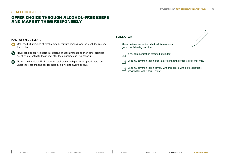# **8. ALCOHOL-FREE**

# OFFER CHOICE THROUGH ALCOHOL-FREE BEERS AND MARKET THEM RESPONSIBLY

## **POINT OF SALE & EVENTS**

- Only conduct sampling of alcohol-free beers with persons over the legal drinking age  $\bullet$ for alcohol.
- Never sell alcohol-free beers in children's or youth institutions or on other premises  $\boldsymbol{\Omega}$ specifically devoted to those under the legal drinking age (e.g. schools).
- $\boldsymbol{\Omega}$ Never merchandise AFBs in areas of retail stores with particular appeal to persons under the legal drinking age for alcohol, e.g. next to sweets or toys.

| <b>SENSE CHECK</b>                                                                                       |  |  |  |  |
|----------------------------------------------------------------------------------------------------------|--|--|--|--|
| Check that you are on the right track by answering<br>yes to the following questions:                    |  |  |  |  |
| Is my communication targeted at adults?                                                                  |  |  |  |  |
| Does my communication explicitly state that the product is alcohol-free?                                 |  |  |  |  |
| Does my communication comply with this policy, with only exceptions<br>provided for within this section? |  |  |  |  |
|                                                                                                          |  |  |  |  |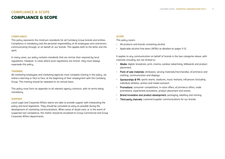# **COMPLIANCE & SCOPE** COMPLIANCE & SCOPE

#### **COMPLIANCE**

This policy represents the minimum standards for all Carlsberg Group brands and entities. Compliance is mandatory and the personal responsibility of all employees and contractors communicating through, or on behalf of, our brands. This applies both to the letter and the spirit.

In many cases, our policy contains standards that are stricter than required by local regulations. However, in cases where local regulations are stricter, they must always supersede this policy.

## **TRAINING**

All marketing employees and marketing agencies must complete training in this policy, via online e-learning or face to face, at the beginning of their employment with the Carlsberg Group. This training should be repeated on an annual basis.

This policy must form an appendix to all relevant agency contracts, with its terms being mandatory.

## **SUPPORT**

Local Legal and Corporate Affairs teams are able to provide support with interpreting the policy and local legislation. They should be consulted as early as possible during the development of marketing communications. When areas of doubt exist, or in the event of suspected non-compliance, the matter should be escalated to Group Commercial and Group Corporate Affairs departments.

#### **SCOPE**

This policy covers:

- All products and brands containing alcohol
- Applicable alcohol-free beers (AFBs) as detailed on pages 11-12.

It applies to any communication on behalf of brands in the two categories above, with channels including, but not limited to:

- Media: digital, broadcast, print, cinema, outdoor advertising, billboards and product placement.
- Point of sale materials: drinkware, serving materials/merchandise, eCommerce and clothing, communication and displays.
- Sponsorships & PR: sports teams, stadiums, music festivals, influencers (including individual athletes, artists) and media outreach.
- Promotions: consumer competitions, in-store offers, eCommerce offers, trade promotions, experiential activations, product placement and events.
- Brand innovation and product development: packaging, labelling and naming.
- Third-party channels: customer/supplier communications for our brands.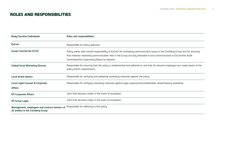# ROLES AND RESPONSIBILITIES

| Body/function/individuals                                                                                                     | Roles and responsibilities                                                                                                                                                                                                                                                                        |  |
|-------------------------------------------------------------------------------------------------------------------------------|---------------------------------------------------------------------------------------------------------------------------------------------------------------------------------------------------------------------------------------------------------------------------------------------------|--|
| <b>ExCom</b>                                                                                                                  | Responsible for policy approval.                                                                                                                                                                                                                                                                  |  |
| <b>Group Commercial (CCO)</b>                                                                                                 | Policy owner with overall responsibility to ExCom for marketing communication issues in the Carlsberg Group and for ensuring<br>that material marketing communication risks in the Group are duly attended to and communicated to ExCom/the Audit<br>Committee/the Supervisory Board as relevant. |  |
| <b>Global/local Marketing Director</b>                                                                                        | Responsible for ensuring that this policy is implemented and adhered to, and that all relevant employees are made aware of the<br>policy and its requirements.                                                                                                                                    |  |
| <b>Local brand owners</b>                                                                                                     | Responsible for verifying and validating marketing materials against the policy.                                                                                                                                                                                                                  |  |
| <b>Local Legal Counsel &amp; Corporate</b><br><b>Affairs</b>                                                                  | Responsible for verifying marketing materials against legal requirements/stakeholder views/industry standards.                                                                                                                                                                                    |  |
| <b>VP Corporate Affairs</b>                                                                                                   | Joint final decision-maker in the event of escalation.                                                                                                                                                                                                                                            |  |
| <b>VP Group Legal</b>                                                                                                         | Joint final decision-maker in the event of escalation.                                                                                                                                                                                                                                            |  |
| Management, employees and contract workers of Responsible for adhering to this policy.<br>all entities in the Carlsberg Group |                                                                                                                                                                                                                                                                                                   |  |